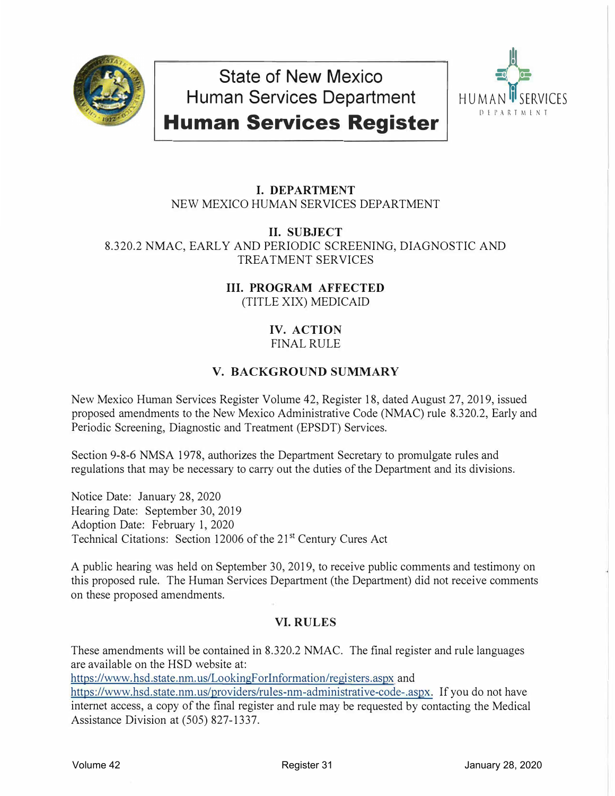

**State of New Mexico Human Services Department Human Services Register** 



# **I. DEPARTMENT** NEW MEXICO HUMAN SERVICES DEPARTMENT

**II. SUBJECT** 8.320.2 NMAC, EARLY AND PERIODIC SCREENING, DIAGNOSTIC AND TREATMENT SERVICES

> **III. PROGRAM AFFECTED** (TITLE XIX) MEDICAID

### **IV. ACTION** FINAL RULE

# **V. BACKGROUND SUMMARY**

New Mexico Human Services Register Volume 42, Register 18, dated August 27, 2019, issued proposed amendments to the New Mexico Administrative Code (NMAC) rule 8.320.2, Early and Periodic Screening, Diagnostic and Treatment (EPSDT) Services.

Section 9-8-6 NMSA 1978, authorizes the Department Secretary to promulgate rules and regulations that may be necessary to carry out the duties of the Department and its divisions.

Notice Date: January 28, 2020 Hearing Date: September 30, 2019 Adoption Date: February 1, 2020 Technical Citations: Section 12006 of the 21<sup>st</sup> Century Cures Act

A public hearing was held on September 30, 2019, to receive public comments and testimony on this proposed rule. The Human Services Department (the Department) did not receive comments on these proposed amendments.

## **VI. RULES**

These amendments will be contained in 8.320.2 NMAC. The final register and rule languages are available on the HSD website at:

https://www.hsd.state.nm.us/LookingForInformation/registers.aspx and

https://www.hsd.state.nm.us/providers/rules-nm-administrative-code-.aspx. If you do not have internet access, a copy of the final register and rule may be requested by contacting the Medical Assistance Division at (505) 827-1337.